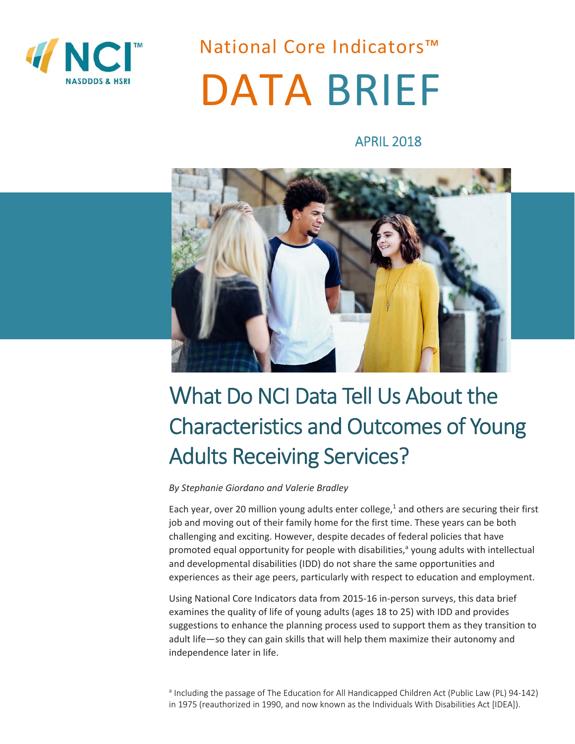

National Core Indicators™ DATA BRIEF

APRIL 2018



# What Do NCI Data Tell Us About the Characteristics and Outcomes of Young Adults Receiving Services?

#### *By Stephanie Giordano and Valerie Bradley*

Each year, over 20 million young adults enter college,<sup>1</sup> and others are securing their first job and moving out of their family home for the first time. These years can be both challenging and exciting. However, despite decades of federal policies that have promoted equal opportunity for people with disabilities,<sup>a</sup> young adults with intellectual and developmental disabilities (IDD) do not share the same opportunities and experiences as their age peers, particularly with respect to education and employment.

Using National Core Indicators data from 2015‐16 in‐person surveys, this data brief examines the quality of life of young adults (ages 18 to 25) with IDD and provides suggestions to enhance the planning process used to support them as they transition to adult life—so they can gain skills that will help them maximize their autonomy and independence later in life.

<sup>a</sup> Including the passage of The Education for All Handicapped Children Act (Public Law (PL) 94-142) in 1975 (reauthorized in 1990, and now known as the Individuals With Disabilities Act [IDEA]).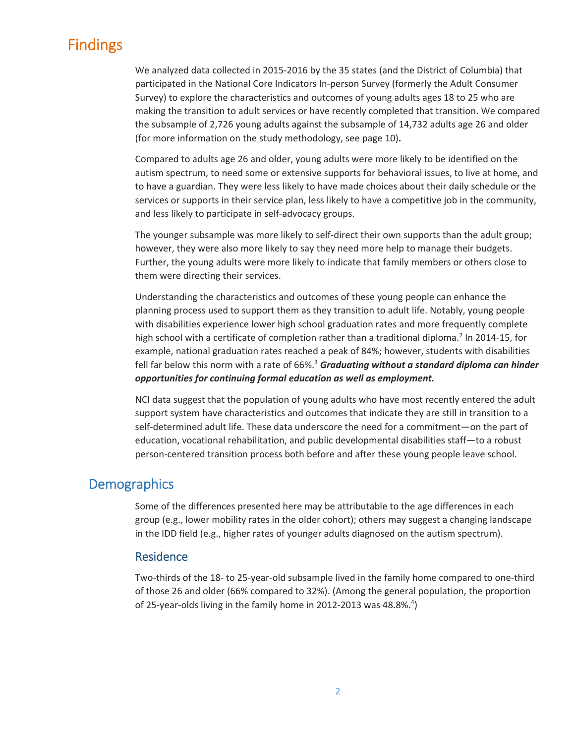# Findings

We analyzed data collected in 2015‐2016 by the 35 states (and the District of Columbia) that participated in the National Core Indicators In‐person Survey (formerly the Adult Consumer Survey) to explore the characteristics and outcomes of young adults ages 18 to 25 who are making the transition to adult services or have recently completed that transition. We compared the subsample of 2,726 young adults against the subsample of 14,732 adults age 26 and older (for more information on the study methodology, see page 10)**.**

Compared to adults age 26 and older, young adults were more likely to be identified on the autism spectrum, to need some or extensive supports for behavioral issues, to live at home, and to have a guardian. They were less likely to have made choices about their daily schedule or the services or supports in their service plan, less likely to have a competitive job in the community, and less likely to participate in self‐advocacy groups.

The younger subsample was more likely to self-direct their own supports than the adult group; however, they were also more likely to say they need more help to manage their budgets. Further, the young adults were more likely to indicate that family members or others close to them were directing their services.

Understanding the characteristics and outcomes of these young people can enhance the planning process used to support them as they transition to adult life. Notably, young people with disabilities experience lower high school graduation rates and more frequently complete high school with a certificate of completion rather than a traditional diploma.<sup>2</sup> In 2014-15, for example, national graduation rates reached a peak of 84%; however, students with disabilities fell far below this norm with a rate of 66%.<sup>3</sup> Graduating without a standard diploma can hinder *opportunities for continuing formal education as well as employment.* 

NCI data suggest that the population of young adults who have most recently entered the adult support system have characteristics and outcomes that indicate they are still in transition to a self-determined adult life. These data underscore the need for a commitment—on the part of education, vocational rehabilitation, and public developmental disabilities staff—to a robust person-centered transition process both before and after these young people leave school.

## **Demographics**

Some of the differences presented here may be attributable to the age differences in each group (e.g., lower mobility rates in the older cohort); others may suggest a changing landscape in the IDD field (e.g., higher rates of younger adults diagnosed on the autism spectrum).

#### Residence

Two-thirds of the 18- to 25-year-old subsample lived in the family home compared to one-third of those 26 and older (66% compared to 32%). (Among the general population, the proportion of 25-year-olds living in the family home in 2012-2013 was 48.8%.<sup>4</sup>)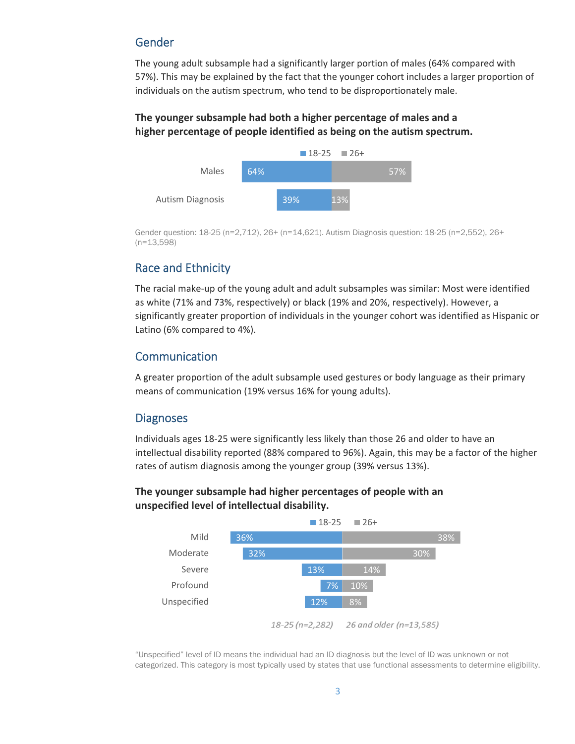### Gender

The young adult subsample had a significantly larger portion of males (64% compared with 57%). This may be explained by the fact that the younger cohort includes a larger proportion of individuals on the autism spectrum, who tend to be disproportionately male.

#### **The younger subsample had both a higher percentage of males and a higher percentage of people identified as being on the autism spectrum.**



Gender question: 18-25 (n=2,712), 26+ (n=14,621). Autism Diagnosis question: 18-25 (n=2,552), 26+ (n=13,598)

### Race and Ethnicity

The racial make‐up of the young adult and adult subsamples was similar: Most were identified as white (71% and 73%, respectively) or black (19% and 20%, respectively). However, a significantly greater proportion of individuals in the younger cohort was identified as Hispanic or Latino (6% compared to 4%).

### Communication

A greater proportion of the adult subsample used gestures or body language as their primary means of communication (19% versus 16% for young adults).

### **Diagnoses**

Individuals ages 18‐25 were significantly less likely than those 26 and older to have an intellectual disability reported (88% compared to 96%). Again, this may be a factor of the higher rates of autism diagnosis among the younger group (39% versus 13%).

#### **The younger subsample had higher percentages of people with an unspecified level of intellectual disability.**



"Unspecified" level of ID means the individual had an ID diagnosis but the level of ID was unknown or not categorized. This category is most typically used by states that use functional assessments to determine eligibility.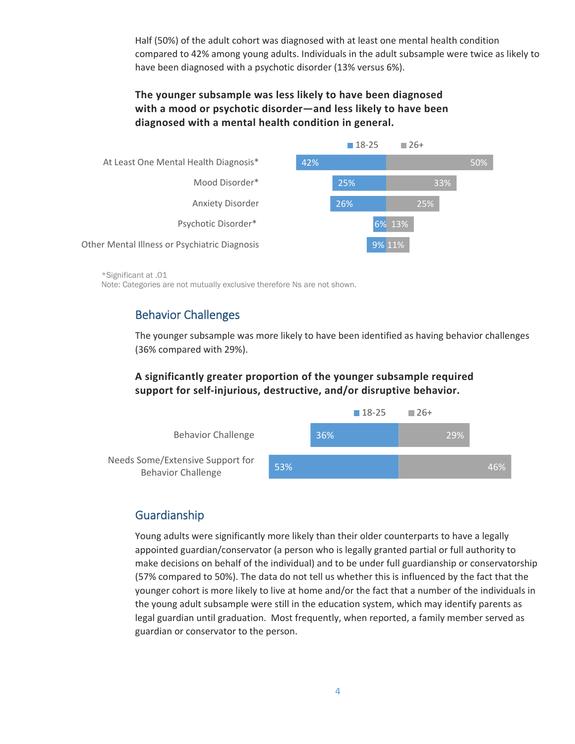Half (50%) of the adult cohort was diagnosed with at least one mental health condition compared to 42% among young adults. Individuals in the adult subsample were twice as likely to have been diagnosed with a psychotic disorder (13% versus 6%).

### **The younger subsample was less likely to have been diagnosed with a mood or psychotic disorder—and less likely to have been diagnosed with a mental health condition in general.**



\*Significant at .01 Note: Categories are not mutually exclusive therefore Ns are not shown.

# Behavior Challenges

The younger subsample was more likely to have been identified as having behavior challenges (36% compared with 29%).

#### **A significantly greater proportion of the younger subsample required support for self‐injurious, destructive, and/or disruptive behavior.**



## Guardianship

Young adults were significantly more likely than their older counterparts to have a legally appointed guardian/conservator (a person who is legally granted partial or full authority to make decisions on behalf of the individual) and to be under full guardianship or conservatorship (57% compared to 50%). The data do not tell us whether this is influenced by the fact that the younger cohort is more likely to live at home and/or the fact that a number of the individuals in the young adult subsample were still in the education system, which may identify parents as legal guardian until graduation. Most frequently, when reported, a family member served as guardian or conservator to the person.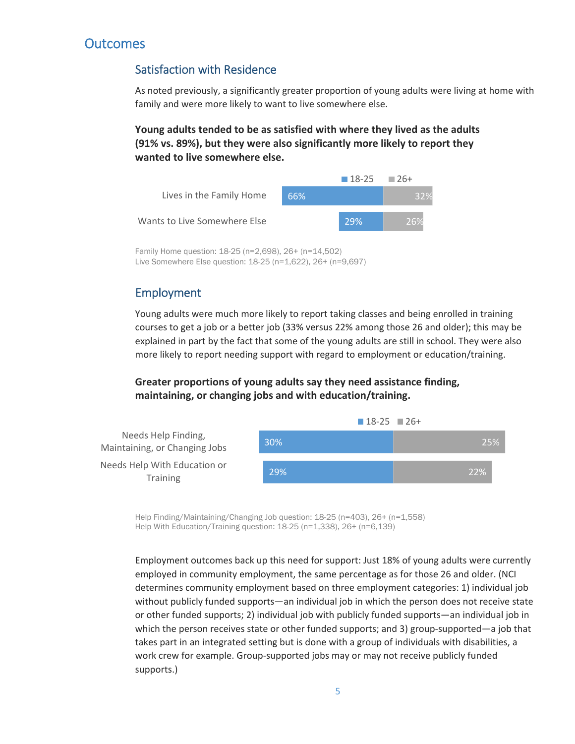# **Outcomes**

## Satisfaction with Residence

As noted previously, a significantly greater proportion of young adults were living at home with family and were more likely to want to live somewhere else.

**Young adults tended to be as satisfied with where they lived as the adults (91% vs. 89%), but they were also significantly more likely to report they wanted to live somewhere else.** 



Family Home question: 18-25 (n=2,698), 26+ (n=14,502) Live Somewhere Else question: 18-25 (n=1,622), 26+ (n=9,697)

## Employment

Young adults were much more likely to report taking classes and being enrolled in training courses to get a job or a better job (33% versus 22% among those 26 and older); this may be explained in part by the fact that some of the young adults are still in school. They were also more likely to report needing support with regard to employment or education/training.

**Greater proportions of young adults say they need assistance finding, maintaining, or changing jobs and with education/training.** 



Help Finding/Maintaining/Changing Job question: 18-25 (n=403), 26+ (n=1,558) Help With Education/Training question: 18-25 (n=1,338), 26+ (n=6,139)

Employment outcomes back up this need for support: Just 18% of young adults were currently employed in community employment, the same percentage as for those 26 and older. (NCI determines community employment based on three employment categories: 1) individual job without publicly funded supports—an individual job in which the person does not receive state or other funded supports; 2) individual job with publicly funded supports—an individual job in which the person receives state or other funded supports; and 3) group-supported—a job that takes part in an integrated setting but is done with a group of individuals with disabilities, a work crew for example. Group-supported jobs may or may not receive publicly funded supports.)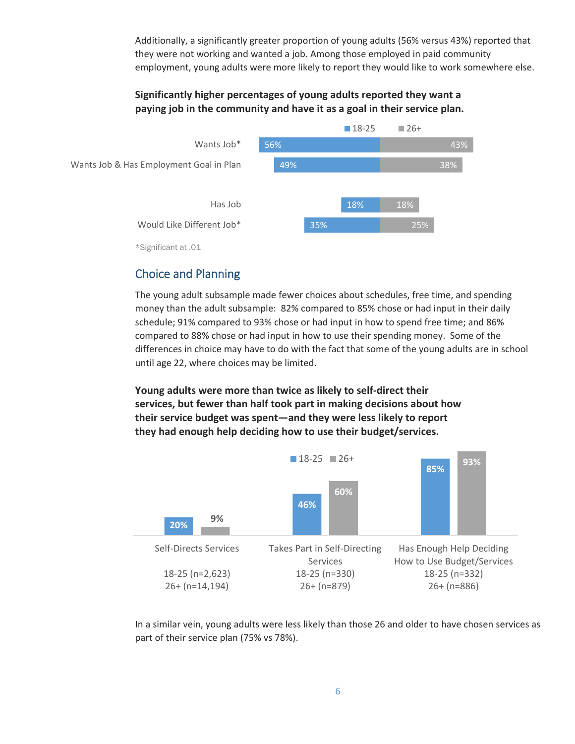Additionally, a significantly greater proportion of young adults (56% versus 43%) reported that they were not working and wanted a job. Among those employed in paid community employment, young adults were more likely to report they would like to work somewhere else.

#### **Significantly higher percentages of young adults reported they want a paying job in the community and have it as a goal in their service plan.**



## Choice and Planning

The young adult subsample made fewer choices about schedules, free time, and spending money than the adult subsample: 82% compared to 85% chose or had input in their daily schedule; 91% compared to 93% chose or had input in how to spend free time; and 86% compared to 88% chose or had input in how to use their spending money. Some of the differences in choice may have to do with the fact that some of the young adults are in school until age 22, where choices may be limited.

**Young adults were more than twice as likely to self‐direct their services, but fewer than half took part in making decisions about how their service budget was spent—and they were less likely to report they had enough help deciding how to use their budget/services.**



In a similar vein, young adults were less likely than those 26 and older to have chosen services as part of their service plan (75% vs 78%).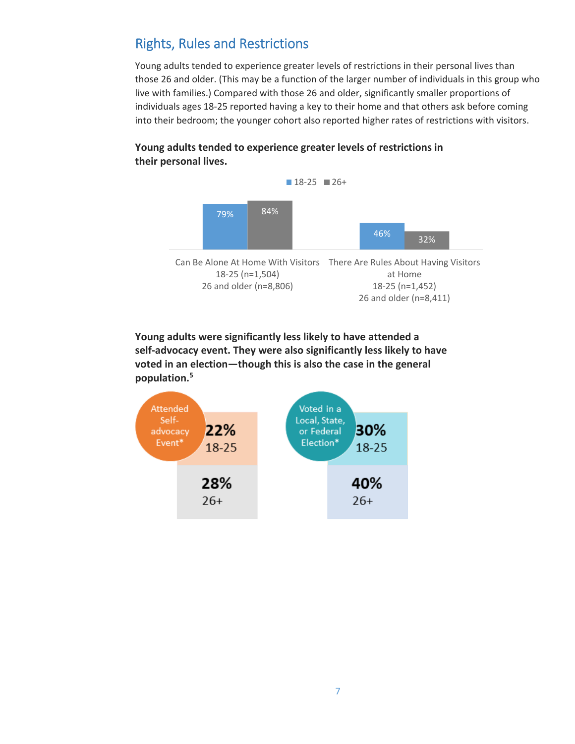# Rights, Rules and Restrictions

Young adults tended to experience greater levels of restrictions in their personal lives than those 26 and older. (This may be a function of the larger number of individuals in this group who live with families.) Compared with those 26 and older, significantly smaller proportions of individuals ages 18‐25 reported having a key to their home and that others ask before coming into their bedroom; the younger cohort also reported higher rates of restrictions with visitors.



26 and older (n=8,411)

### **Young adults tended to experience greater levels of restrictions in their personal lives.**

**Young adults were significantly less likely to have attended a self‐advocacy event. They were also significantly less likely to have voted in an election—though this is also the case in the general population.5**

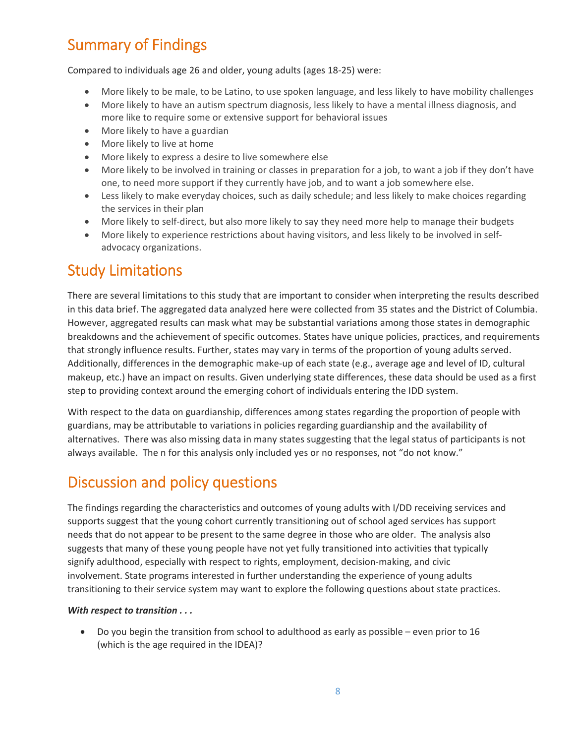# Summary of Findings

Compared to individuals age 26 and older, young adults (ages 18‐25) were:

- More likely to be male, to be Latino, to use spoken language, and less likely to have mobility challenges
- More likely to have an autism spectrum diagnosis, less likely to have a mental illness diagnosis, and more like to require some or extensive support for behavioral issues
- More likely to have a guardian
- More likely to live at home
- More likely to express a desire to live somewhere else
- More likely to be involved in training or classes in preparation for a job, to want a job if they don't have one, to need more support if they currently have job, and to want a job somewhere else.
- Less likely to make everyday choices, such as daily schedule; and less likely to make choices regarding the services in their plan
- More likely to self-direct, but also more likely to say they need more help to manage their budgets
- More likely to experience restrictions about having visitors, and less likely to be involved in selfadvocacy organizations.

# Study Limitations

There are several limitations to this study that are important to consider when interpreting the results described in this data brief. The aggregated data analyzed here were collected from 35 states and the District of Columbia. However, aggregated results can mask what may be substantial variations among those states in demographic breakdowns and the achievement of specific outcomes. States have unique policies, practices, and requirements that strongly influence results. Further, states may vary in terms of the proportion of young adults served. Additionally, differences in the demographic make‐up of each state (e.g., average age and level of ID, cultural makeup, etc.) have an impact on results. Given underlying state differences, these data should be used as a first step to providing context around the emerging cohort of individuals entering the IDD system.

With respect to the data on guardianship, differences among states regarding the proportion of people with guardians, may be attributable to variations in policies regarding guardianship and the availability of alternatives. There was also missing data in many states suggesting that the legal status of participants is not always available. The n for this analysis only included yes or no responses, not "do not know."

# Discussion and policy questions

The findings regarding the characteristics and outcomes of young adults with I/DD receiving services and supports suggest that the young cohort currently transitioning out of school aged services has support needs that do not appear to be present to the same degree in those who are older. The analysis also suggests that many of these young people have not yet fully transitioned into activities that typically signify adulthood, especially with respect to rights, employment, decision-making, and civic involvement. State programs interested in further understanding the experience of young adults transitioning to their service system may want to explore the following questions about state practices.

#### *With respect to transition . . .*

 Do you begin the transition from school to adulthood as early as possible – even prior to 16 (which is the age required in the IDEA)?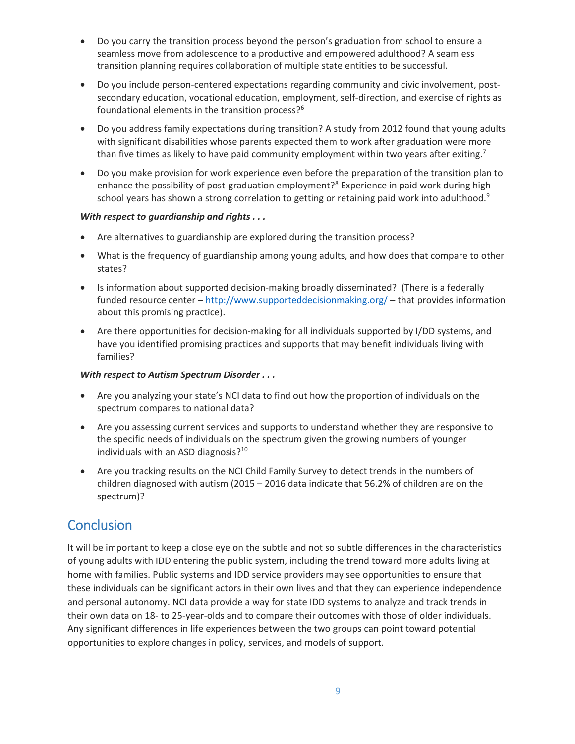- Do you carry the transition process beyond the person's graduation from school to ensure a seamless move from adolescence to a productive and empowered adulthood? A seamless transition planning requires collaboration of multiple state entities to be successful.
- Do you include person-centered expectations regarding community and civic involvement, postsecondary education, vocational education, employment, self-direction, and exercise of rights as foundational elements in the transition process?6
- Do you address family expectations during transition? A study from 2012 found that young adults with significant disabilities whose parents expected them to work after graduation were more than five times as likely to have paid community employment within two years after exiting.<sup>7</sup>
- Do you make provision for work experience even before the preparation of the transition plan to enhance the possibility of post-graduation employment?<sup>8</sup> Experience in paid work during high school years has shown a strong correlation to getting or retaining paid work into adulthood.<sup>9</sup>

#### *With respect to guardianship and rights . . .*

- Are alternatives to guardianship are explored during the transition process?
- What is the frequency of guardianship among young adults, and how does that compare to other states?
- Is information about supported decision-making broadly disseminated? (There is a federally funded resource center – http://www.supporteddecisionmaking.org/ – that provides information about this promising practice).
- Are there opportunities for decision-making for all individuals supported by I/DD systems, and have you identified promising practices and supports that may benefit individuals living with families?

#### *With respect to Autism Spectrum Disorder . . .*

- Are you analyzing your state's NCI data to find out how the proportion of individuals on the spectrum compares to national data?
- Are you assessing current services and supports to understand whether they are responsive to the specific needs of individuals on the spectrum given the growing numbers of younger individuals with an ASD diagnosis?<sup>10</sup>
- Are you tracking results on the NCI Child Family Survey to detect trends in the numbers of children diagnosed with autism (2015 – 2016 data indicate that 56.2% of children are on the spectrum)?

# **Conclusion**

It will be important to keep a close eye on the subtle and not so subtle differences in the characteristics of young adults with IDD entering the public system, including the trend toward more adults living at home with families. Public systems and IDD service providers may see opportunities to ensure that these individuals can be significant actors in their own lives and that they can experience independence and personal autonomy. NCI data provide a way for state IDD systems to analyze and track trends in their own data on 18‐ to 25‐year‐olds and to compare their outcomes with those of older individuals. Any significant differences in life experiences between the two groups can point toward potential opportunities to explore changes in policy, services, and models of support.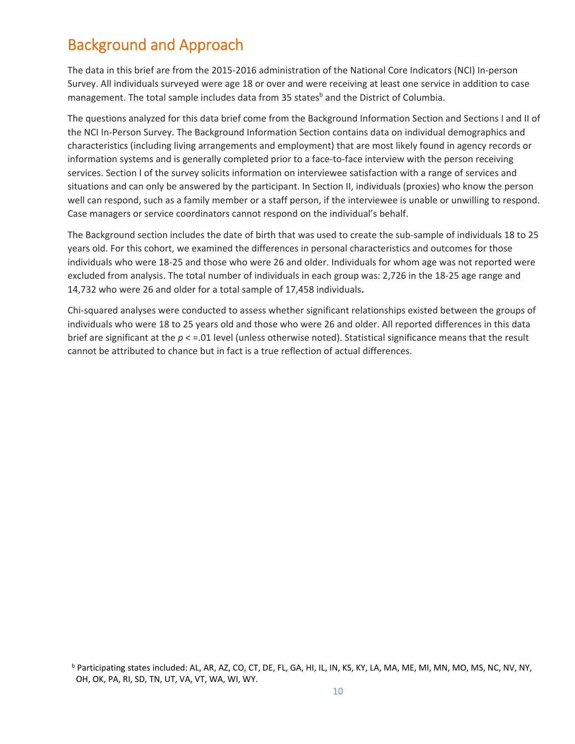# Background and Approach

The data in this brief are from the 2015‐2016 administration of the National Core Indicators (NCI) In‐person Survey. All individuals surveyed were age 18 or over and were receiving at least one service in addition to case management. The total sample includes data from 35 states<sup>b</sup> and the District of Columbia.

The questions analyzed for this data brief come from the Background Information Section and Sections I and II of the NCI In‐Person Survey. The Background Information Section contains data on individual demographics and characteristics (including living arrangements and employment) that are most likely found in agency records or information systems and is generally completed prior to a face-to-face interview with the person receiving services. Section I of the survey solicits information on interviewee satisfaction with a range of services and situations and can only be answered by the participant. In Section II, individuals (proxies) who know the person well can respond, such as a family member or a staff person, if the interviewee is unable or unwilling to respond. Case managers or service coordinators cannot respond on the individual's behalf.

The Background section includes the date of birth that was used to create the sub‐sample of individuals 18 to 25 years old. For this cohort, we examined the differences in personal characteristics and outcomes for those individuals who were 18‐25 and those who were 26 and older. Individuals for whom age was not reported were excluded from analysis. The total number of individuals in each group was: 2,726 in the 18‐25 age range and 14,732 who were 26 and older for a total sample of 17,458 individuals**.** 

Chi‐squared analyses were conducted to assess whether significant relationships existed between the groups of individuals who were 18 to 25 years old and those who were 26 and older. All reported differences in this data brief are significant at the *p* < =.01 level (unless otherwise noted). Statistical significance means that the result cannot be attributed to chance but in fact is a true reflection of actual differences.

<sup>&</sup>lt;sup>b</sup> Participating states included: AL, AR, AZ, CO, CT, DE, FL, GA, HI, IL, IN, KS, KY, LA, MA, ME, MI, MN, MO, MS, NC, NV, NY, OH, OK, PA, RI, SD, TN, UT, VA, VT, WA, WI, WY.